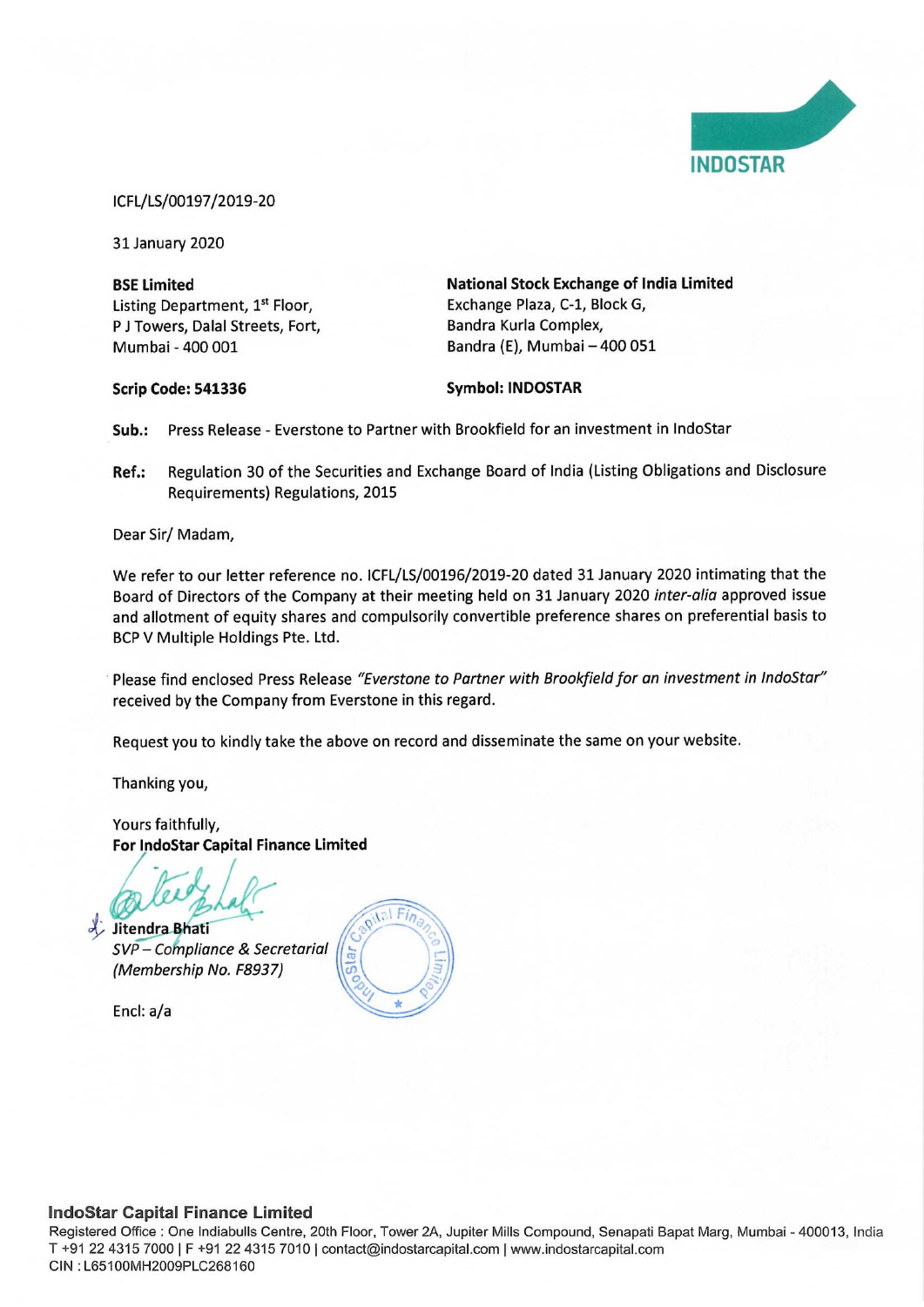

#### ICFL/LS/00197/2019-20

31 January 2020

Listing Department, 1<sup>st</sup> Floor, Exchange Plaza, C-1, Block G, P J Towers, Dalal Streets, Fort, Bandra Kurla Complex, Mumbai - 400 001 Bandra (E), Mumbai — 400 051

BSE Limited National Stock Exchange of India Limited

Scrip Code: 541336 Symbol: INDOSTAR

Sub.: Press Release - Everstone to Partner with Brookfield for an investment in IndoStar

Ref.: Regulation 30 of the Securities and Exchange Board of India (Listing Obligations and Disclosure Requirements) Regulations, 2015

Dear Sir/ Madam,

We refer to our letter reference no. ICFL/LS/00196/2019-20 dated 31 January 2020 intimating that the Board of Directors of the Company at their meeting held on 31 January 2020 inter-alia approved issue and allotment of equity shares and compulsorily convertible preference shares on preferential basis to BCP V Multiple Holdings Pte. Ltd.

Please find enclosed Press Release "Everstone to Partner with Brookfield for an investment in IndoStar" received by the Company from Everstone in this regard.

Request you to kindly take the above on record and disseminate the same on your website.

Thanking you,

Yours faithfully, For IndoStar Capital Finance Limited

Jitendra Bhati

 $SVP - \text{Compliance } \& \text{ Secretarial } \sqrt{\frac{1}{100}}$ 

Encl: a/a



## IndoStar Capital Finance Limited

Registered Office : One Indiabulls Centre, 20th Floor, Tower 2A, Jupiter Mills Compound, Senapati Bapat Marg, Mumbai - 400013, India T +91 22 4315 7000 | F +91 22 4315 7010 | contact@indostarcapital.com | www.indostarcapital.com CIN : L65100MH2009PLC268160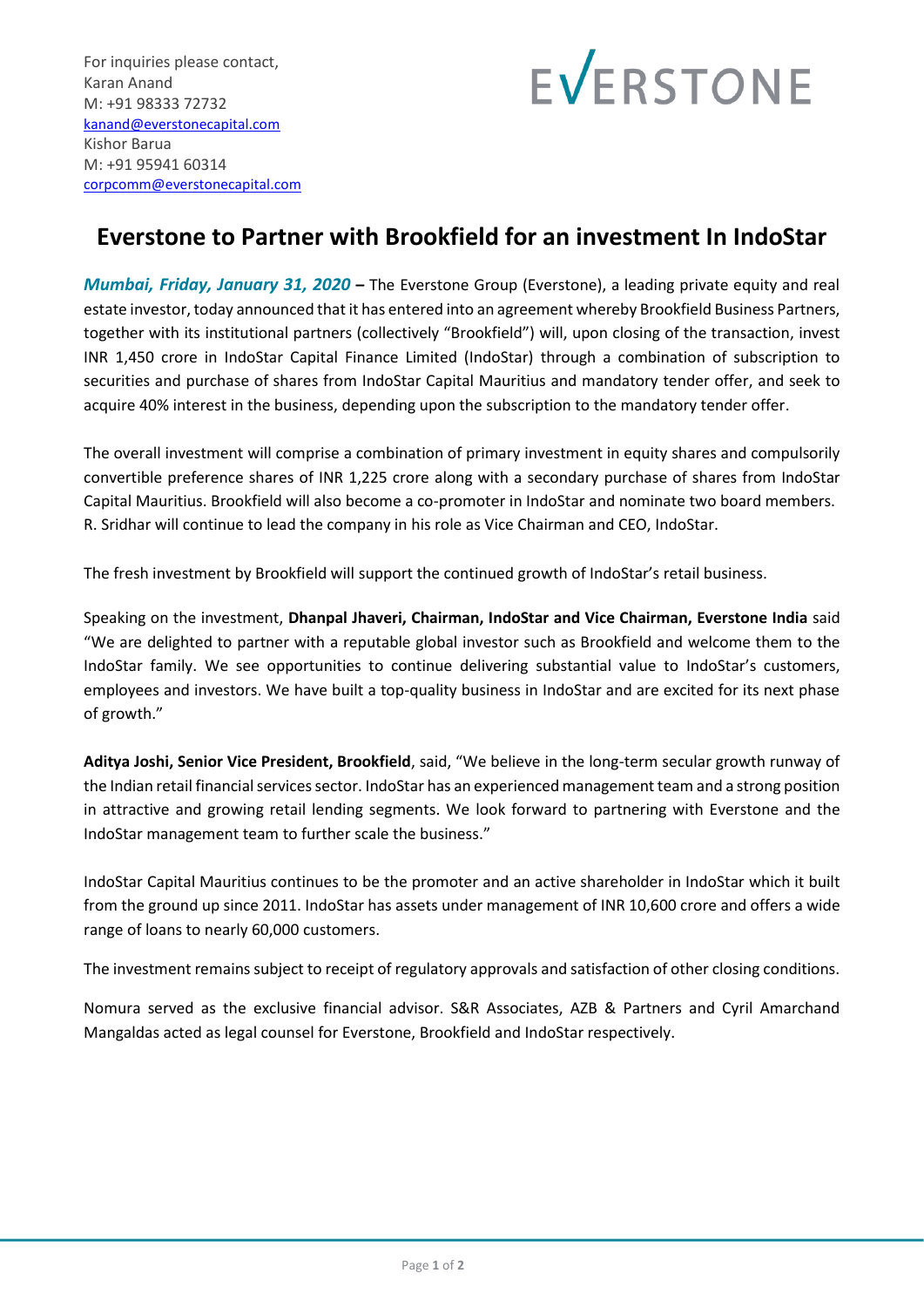

# **Everstone to Partner with Brookfield for an investment In IndoStar**

*Mumbai, Friday, January 31, 2020* **–** The Everstone Group (Everstone), a leading private equity and real estate investor, today announced that it has entered into an agreement whereby Brookfield Business Partners, together with its institutional partners (collectively "Brookfield") will, upon closing of the transaction, invest INR 1,450 crore in IndoStar Capital Finance Limited (IndoStar) through a combination of subscription to securities and purchase of shares from IndoStar Capital Mauritius and mandatory tender offer, and seek to acquire 40% interest in the business, depending upon the subscription to the mandatory tender offer.

The overall investment will comprise a combination of primary investment in equity shares and compulsorily convertible preference shares of INR 1,225 crore along with a secondary purchase of shares from IndoStar Capital Mauritius. Brookfield will also become a co-promoter in IndoStar and nominate two board members. R. Sridhar will continue to lead the company in his role as Vice Chairman and CEO, IndoStar.

The fresh investment by Brookfield will support the continued growth of IndoStar's retail business.

Speaking on the investment, **Dhanpal Jhaveri, Chairman, IndoStar and Vice Chairman, Everstone India** said "We are delighted to partner with a reputable global investor such as Brookfield and welcome them to the IndoStar family. We see opportunities to continue delivering substantial value to IndoStar's customers, employees and investors. We have built a top-quality business in IndoStar and are excited for its next phase of growth."

**Aditya Joshi, Senior Vice President, Brookfield**, said, "We believe in the long-term secular growth runway of the Indian retail financial services sector. IndoStar has an experienced management team and a strong position in attractive and growing retail lending segments. We look forward to partnering with Everstone and the IndoStar management team to further scale the business."

IndoStar Capital Mauritius continues to be the promoter and an active shareholder in IndoStar which it built from the ground up since 2011. IndoStar has assets under management of INR 10,600 crore and offers a wide range of loans to nearly 60,000 customers.

The investment remains subject to receipt of regulatory approvals and satisfaction of other closing conditions.

Nomura served as the exclusive financial advisor. S&R Associates, AZB & Partners and Cyril Amarchand Mangaldas acted as legal counsel for Everstone, Brookfield and IndoStar respectively.